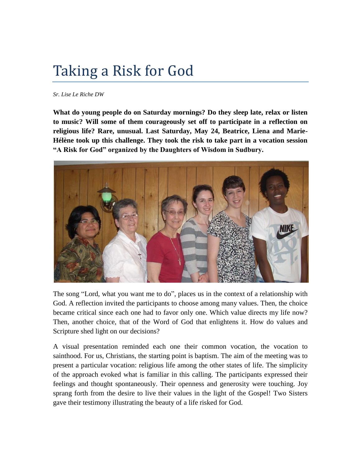## Taking a Risk for God

## *Sr. Lise Le Riche DW*

**What do young people do on Saturday mornings? Do they sleep late, relax or listen to music? Will some of them courageously set off to participate in a reflection on religious life? Rare, unusual. Last Saturday, May 24, Beatrice, Liena and Marie-Hélène took up this challenge. They took the risk to take part in a vocation session "A Risk for God" organized by the Daughters of Wisdom in Sudbury.** 



The song "Lord, what you want me to do", places us in the context of a relationship with God. A reflection invited the participants to choose among many values. Then, the choice became critical since each one had to favor only one. Which value directs my life now? Then, another choice, that of the Word of God that enlightens it. How do values and Scripture shed light on our decisions?

A visual presentation reminded each one their common vocation, the vocation to sainthood. For us, Christians, the starting point is baptism. The aim of the meeting was to present a particular vocation: religious life among the other states of life. The simplicity of the approach evoked what is familiar in this calling. The participants expressed their feelings and thought spontaneously. Their openness and generosity were touching. Joy sprang forth from the desire to live their values in the light of the Gospel! Two Sisters gave their testimony illustrating the beauty of a life risked for God.